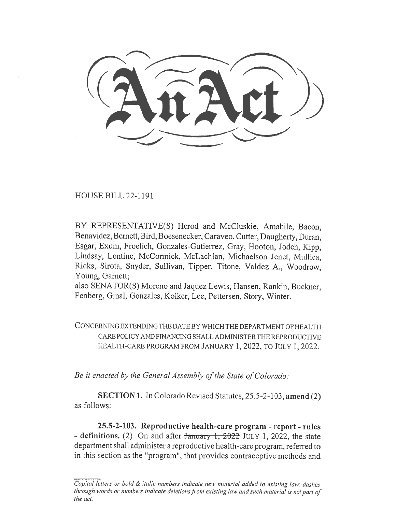HOUSE BILL 22-1191

BY REPRESENTATIVE(S) Herod and McCluskie, Amabile, Bacon, Benavidez, Bernett, Bird, Boesenecker, Caraveo, Cutter, Daugherty, Duran, Esgar, Exum, Froelich, Gonzales-Gutierrez, Gray, Hooton, Jodeh, Kipp, Lindsay, Lontine, McCormick, McLachlan, Michaelson Jenet, Mullica, Ricks, Sirota, Snyder, Sullivan, Tipper, Titone, Valdez A., Woodrow, Young, Garnett;

also SENATOR(S) Moreno and Jaquez Lewis, Hansen, Rankin, Buckner, Fenberg, Ginal, Gonzales, Kolker, Lee, Pettersen, Story, Winter.

CONCERNING EXTENDING THE DATE BY WHICH THE DEPARTMENT OF HEALTH CARE POLICY AND FINANCING SHALL ADMINISTER THE REPRODUCTIVE HEALTH-CARE PROGRAM FROM JANUARY 1, 2022, TO JULY 1, 2022.

Be it enacted by the General Assembly of the State of Colorado:

SECTION 1. In Colorado Revised Statutes, 25.5-2-103, amend (2) as follows:

25.5-2-103. Reproductive health-care program - report - rules - definitions. (2) On and after  $\frac{1}{2022}$  JULY 1, 2022, the state department shall administer a reproductive health-care program, referred to in this section as the "program", that provides contraceptive methods and

Capital letters or bold & italic numbers indicate new material added to existing law; dashes through words or numbers indicate deletions from existing law and such material is not part of the act.